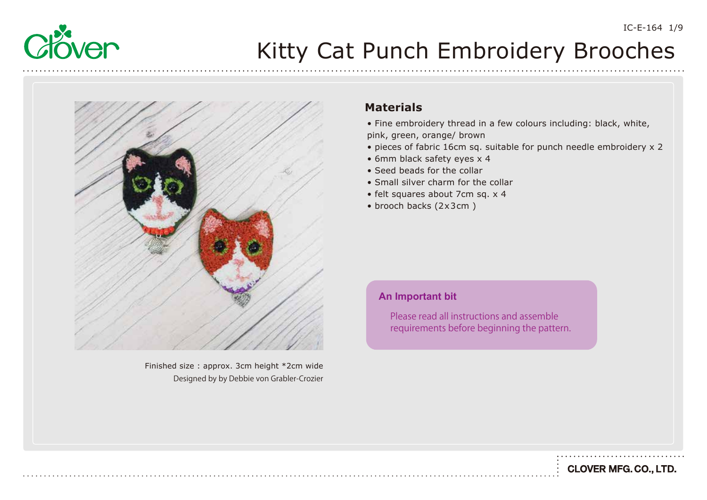



Finished size : approx. 3cm height \*2cm wide Designed by by Debbie von Grabler-Crozier

### **Materials**

- Fine embroidery thread in a few colours including: black, white, pink, green, orange/ brown
- pieces of fabric 16cm sq. suitable for punch needle embroidery x 2
- 6mm black safety eyes x 4
- Seed beads for the collar
- Small silver charm for the collar
- felt squares about 7cm sq. x 4
- brooch backs (2x3cm )

#### **An Important bit**

Please read all instructions and assemble requirements before beginning the pattern. IC-E-164 1/9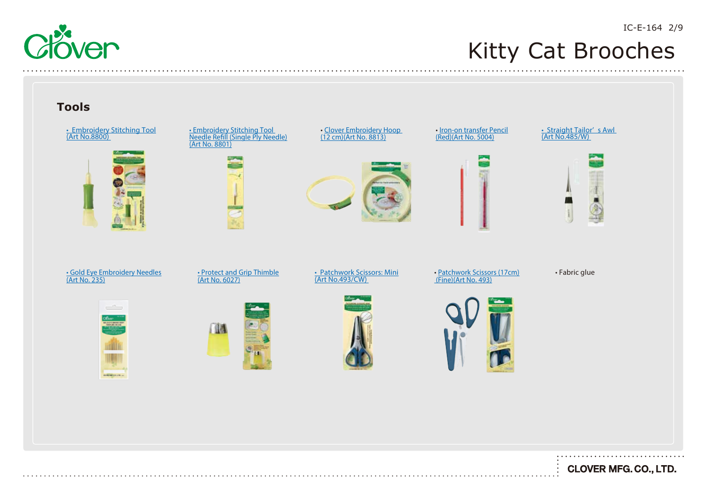

### Kitty Cat Brooches

### **Tools**

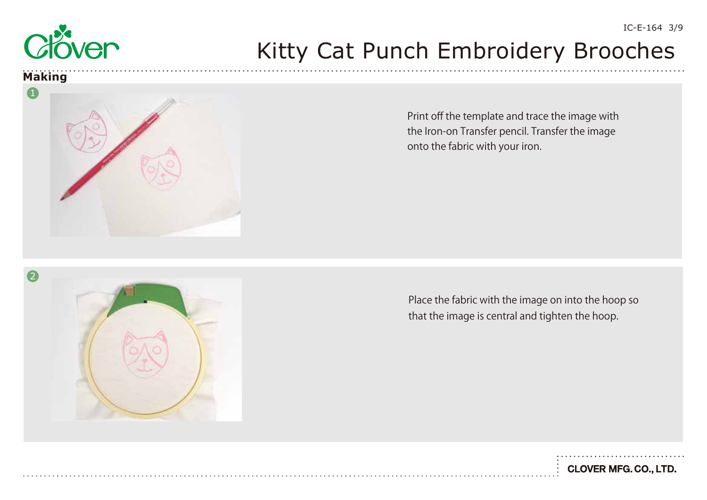

### **Making**

 $\overline{\phantom{a}}$ 



Print off the template and trace the image with the Iron-on Transfer pencil. Transfer the image onto the fabric with your iron.

Place the fabric with the image on into the hoop so that the image is central and tighten the hoop.

**CLOVER MFG. CO., LTD.**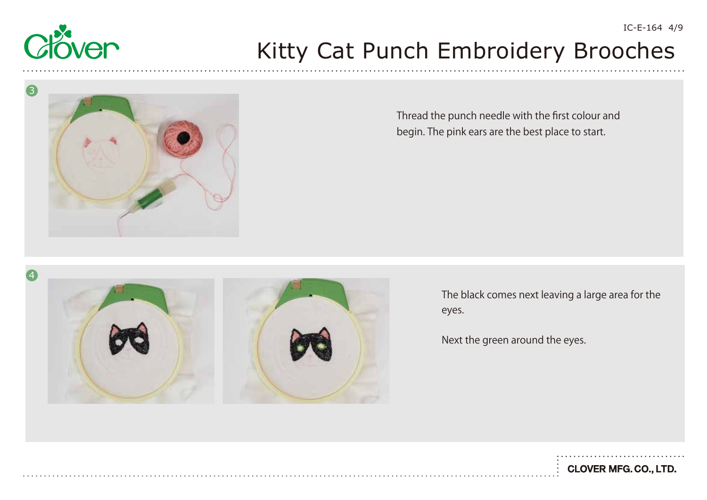

3

4

# Kitty Cat Punch Embroidery Brooches

Thread the punch needle with the first colour and begin. The pink ears are the best place to start.

The black comes next leaving a large area for the

eyes.

Next the green around the eyes.

**CLOVER MFG. CO., LTD.** 

IC-E-164 4/9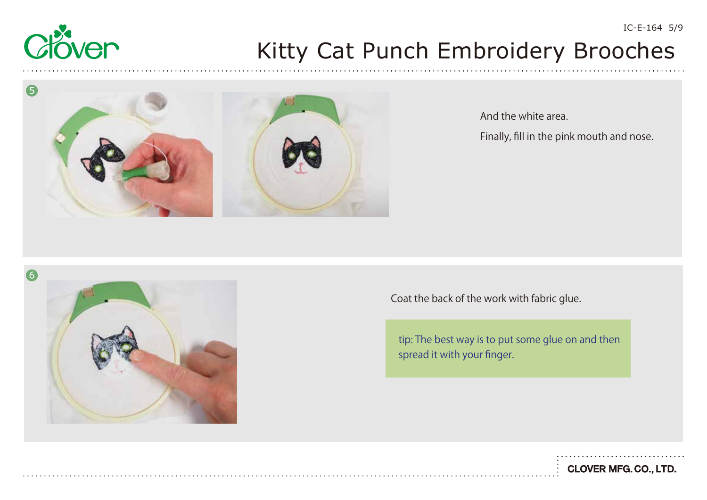



And the white area. Finally, fill in the pink mouth and nose.



Coat the back of the work with fabric glue.

tip: The best way is to put some glue on and then spread it with your finger.

IC-E-164 5/9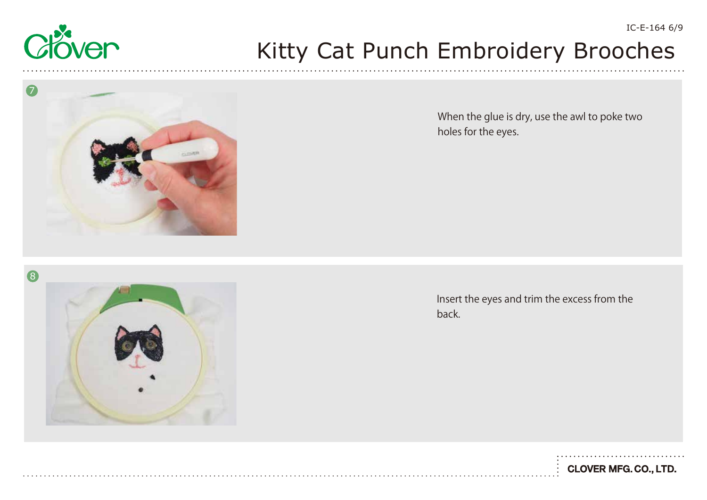



When the glue is dry, use the awl to poke two holes for the eyes.

8

Insert the eyes and trim the excess from the back.



IC-E-164 6/9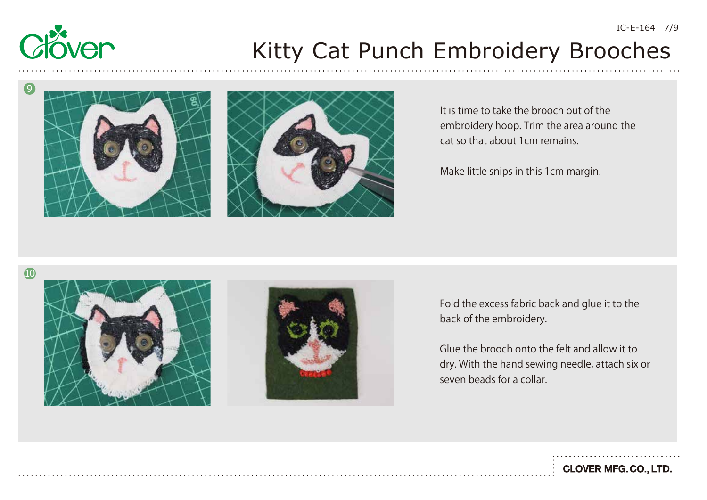





It is time to take the brooch out of the embroidery hoop. Trim the area around the cat so that about 1cm remains.

Make little snips in this 1cm margin.



Fold the excess fabric back and glue it to the back of the embroidery.

Glue the brooch onto the felt and allow it to dry. With the hand sewing needle, attach six or seven beads for a collar.

**CLOVER MFG. CO., LTD.** 

IC-E-164 7/9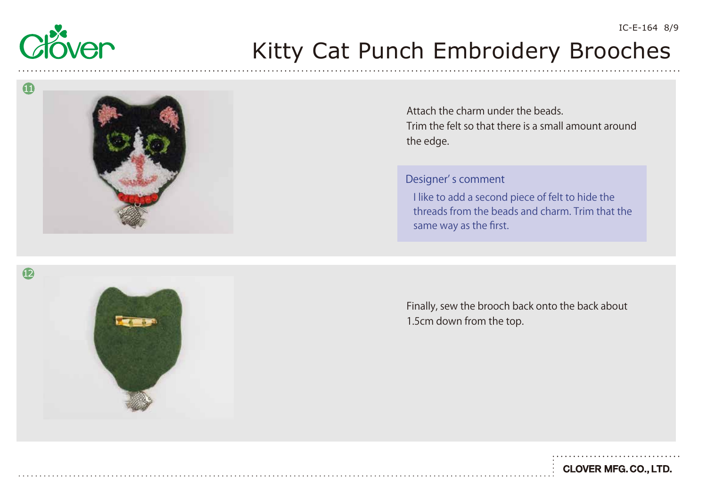





Finally, sew the brooch back onto the back about 1.5cm down from the top.

**CLOVER MFG. CO., LTD.**